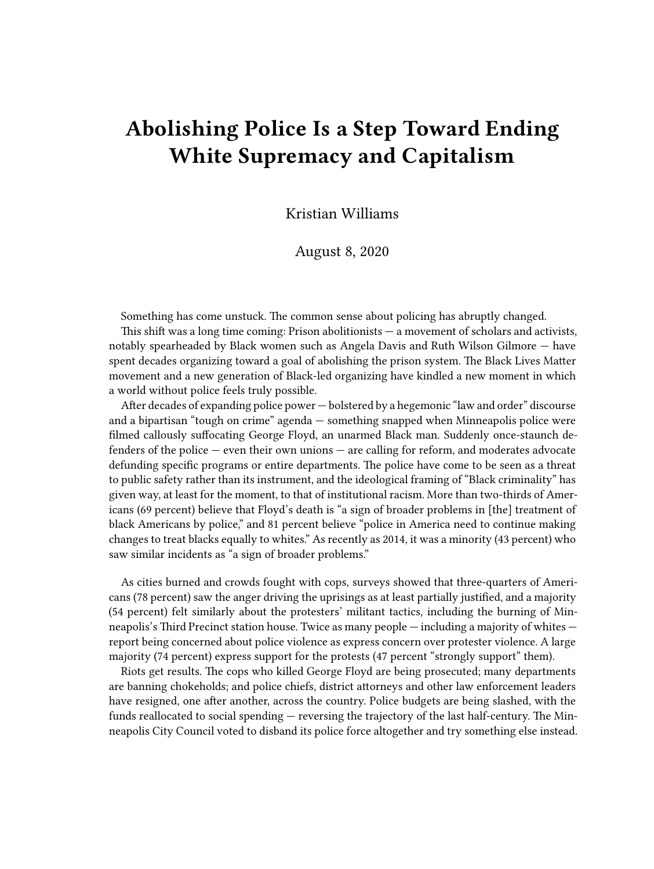## **Abolishing Police Is a Step Toward Ending White Supremacy and Capitalism**

Kristian Williams

August 8, 2020

Something has come unstuck. The common sense about policing has abruptly changed.

This shift was a long time coming: Prison abolitionists — a movement of scholars and activists, notably spearheaded by Black women such as Angela Davis and Ruth Wilson Gilmore — have spent decades organizing toward a goal of abolishing the prison system. The Black Lives Matter movement and a new generation of Black-led organizing have kindled a new moment in which a world without police feels truly possible.

After decades of expanding police power — bolstered by a hegemonic "law and order" discourse and a bipartisan "tough on crime" agenda — something snapped when Minneapolis police were filmed callously suffocating George Floyd, an unarmed Black man. Suddenly once-staunch defenders of the police — even their own unions — are calling for reform, and moderates advocate defunding specific programs or entire departments. The police have come to be seen as a threat to public safety rather than its instrument, and the ideological framing of "Black criminality" has given way, at least for the moment, to that of institutional racism. More than two-thirds of Americans (69 percent) believe that Floyd's death is "a sign of broader problems in [the] treatment of black Americans by police," and 81 percent believe "police in America need to continue making changes to treat blacks equally to whites." As recently as 2014, it was a minority (43 percent) who saw similar incidents as "a sign of broader problems."

As cities burned and crowds fought with cops, surveys showed that three-quarters of Americans (78 percent) saw the anger driving the uprisings as at least partially justified, and a majority (54 percent) felt similarly about the protesters' militant tactics, including the burning of Minneapolis's Third Precinct station house. Twice as many people — including a majority of whites report being concerned about police violence as express concern over protester violence. A large majority (74 percent) express support for the protests (47 percent "strongly support" them).

Riots get results. The cops who killed George Floyd are being prosecuted; many departments are banning chokeholds; and police chiefs, district attorneys and other law enforcement leaders have resigned, one after another, across the country. Police budgets are being slashed, with the funds reallocated to social spending — reversing the trajectory of the last half-century. The Minneapolis City Council voted to disband its police force altogether and try something else instead.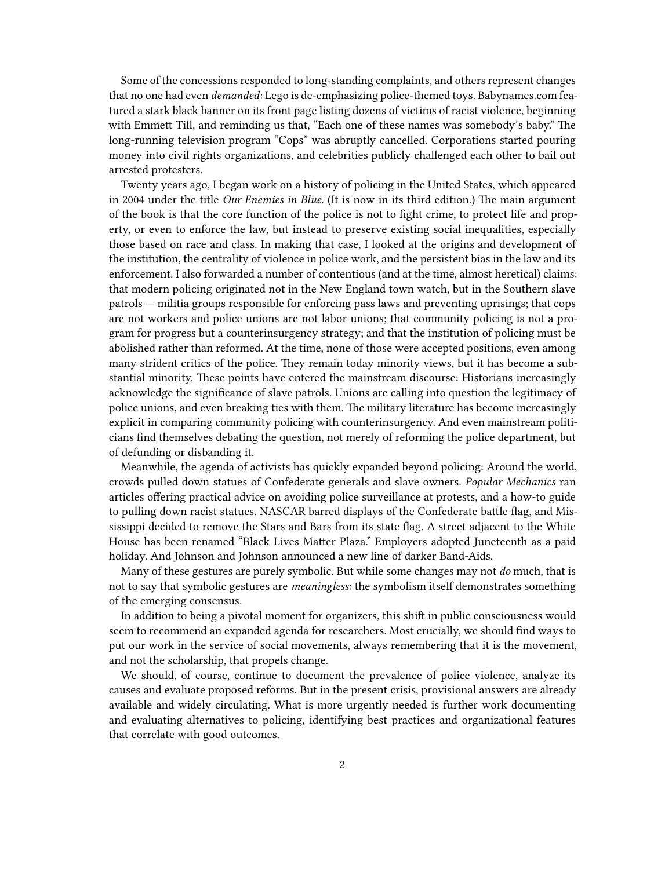Some of the concessions responded to long-standing complaints, and others represent changes that no one had even *demanded*: Lego is de-emphasizing police-themed toys. Babynames.com featured a stark black banner on its front page listing dozens of victims of racist violence, beginning with Emmett Till, and reminding us that, "Each one of these names was somebody's baby." The long-running television program "Cops" was abruptly cancelled. Corporations started pouring money into civil rights organizations, and celebrities publicly challenged each other to bail out arrested protesters.

Twenty years ago, I began work on a history of policing in the United States, which appeared in 2004 under the title *Our Enemies in Blue*. (It is now in its third edition.) The main argument of the book is that the core function of the police is not to fight crime, to protect life and property, or even to enforce the law, but instead to preserve existing social inequalities, especially those based on race and class. In making that case, I looked at the origins and development of the institution, the centrality of violence in police work, and the persistent bias in the law and its enforcement. I also forwarded a number of contentious (and at the time, almost heretical) claims: that modern policing originated not in the New England town watch, but in the Southern slave patrols — militia groups responsible for enforcing pass laws and preventing uprisings; that cops are not workers and police unions are not labor unions; that community policing is not a program for progress but a counterinsurgency strategy; and that the institution of policing must be abolished rather than reformed. At the time, none of those were accepted positions, even among many strident critics of the police. They remain today minority views, but it has become a substantial minority. These points have entered the mainstream discourse: Historians increasingly acknowledge the significance of slave patrols. Unions are calling into question the legitimacy of police unions, and even breaking ties with them. The military literature has become increasingly explicit in comparing community policing with counterinsurgency. And even mainstream politicians find themselves debating the question, not merely of reforming the police department, but of defunding or disbanding it.

Meanwhile, the agenda of activists has quickly expanded beyond policing: Around the world, crowds pulled down statues of Confederate generals and slave owners. *Popular Mechanics* ran articles offering practical advice on avoiding police surveillance at protests, and a how-to guide to pulling down racist statues. NASCAR barred displays of the Confederate battle flag, and Mississippi decided to remove the Stars and Bars from its state flag. A street adjacent to the White House has been renamed "Black Lives Matter Plaza." Employers adopted Juneteenth as a paid holiday. And Johnson and Johnson announced a new line of darker Band-Aids.

Many of these gestures are purely symbolic. But while some changes may not *do* much, that is not to say that symbolic gestures are *meaningless*: the symbolism itself demonstrates something of the emerging consensus.

In addition to being a pivotal moment for organizers, this shift in public consciousness would seem to recommend an expanded agenda for researchers. Most crucially, we should find ways to put our work in the service of social movements, always remembering that it is the movement, and not the scholarship, that propels change.

We should, of course, continue to document the prevalence of police violence, analyze its causes and evaluate proposed reforms. But in the present crisis, provisional answers are already available and widely circulating. What is more urgently needed is further work documenting and evaluating alternatives to policing, identifying best practices and organizational features that correlate with good outcomes.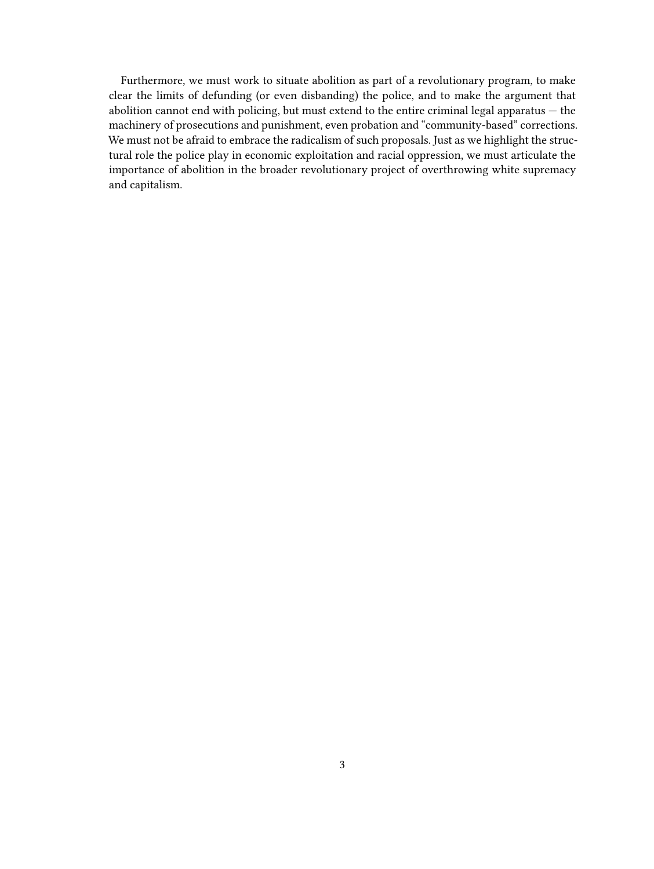Furthermore, we must work to situate abolition as part of a revolutionary program, to make clear the limits of defunding (or even disbanding) the police, and to make the argument that abolition cannot end with policing, but must extend to the entire criminal legal apparatus — the machinery of prosecutions and punishment, even probation and "community-based" corrections. We must not be afraid to embrace the radicalism of such proposals. Just as we highlight the structural role the police play in economic exploitation and racial oppression, we must articulate the importance of abolition in the broader revolutionary project of overthrowing white supremacy and capitalism.